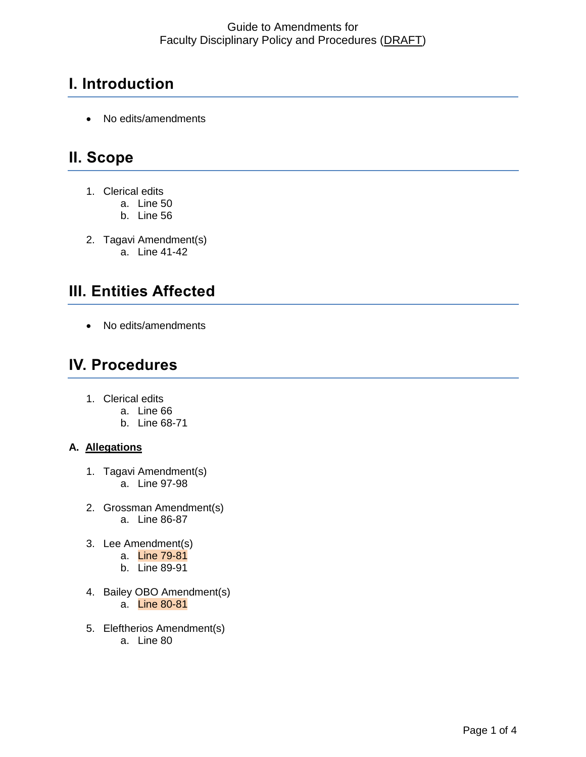# **I. Introduction**

• No edits/amendments

## **II. Scope**

- 1. Clerical edits
	- a. Line 50
	- b. Line 56
- 2. Tagavi Amendment(s) a. Line 41-42

# **III. Entities Affected**

• No edits/amendments

## **IV. Procedures**

- 1. Clerical edits
	- a. Line 66
	- b. Line 68-71

#### **A. Allegations**

- 1. Tagavi Amendment(s) a. Line 97-98
- 2. Grossman Amendment(s) a. Line 86-87
- 3. Lee Amendment(s)
	- a. Line 79-81
	- b. Line 89-91
- 4. Bailey OBO Amendment(s) a. Line 80-81
- 5. Eleftherios Amendment(s) a. Line 80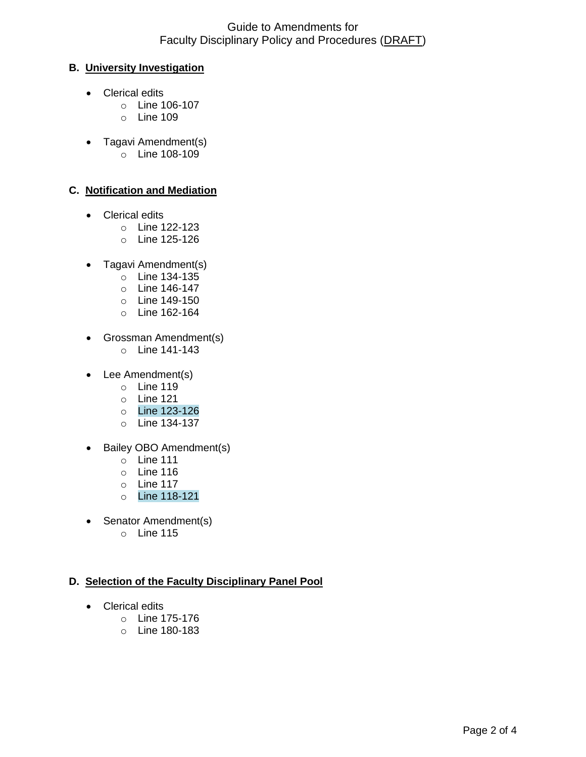#### **B. University Investigation**

- Clerical edits
	- o Line 106-107
	- o Line 109
- Tagavi Amendment(s)
	- $\circ$  Line 108-109

#### **C. Notification and Mediation**

- Clerical edits
	- o Line 122-123
	- o Line 125-126
- Tagavi Amendment(s)
	- o Line 134-135
	- o Line 146-147
	- o Line 149-150
	- o Line 162-164
- Grossman Amendment(s)
	- o Line 141-143
- Lee Amendment(s)
	- o Line 119
	- o Line 121
	- o Line 123-126
	- o Line 134-137
- Bailey OBO Amendment(s)
	- o Line 111
	- o Line 116
	- o Line 117
	- o Line 118-121
- Senator Amendment(s)
	- o Line 115

#### **D. Selection of the Faculty Disciplinary Panel Pool**

- Clerical edits
	- o Line 175-176
	- o Line 180-183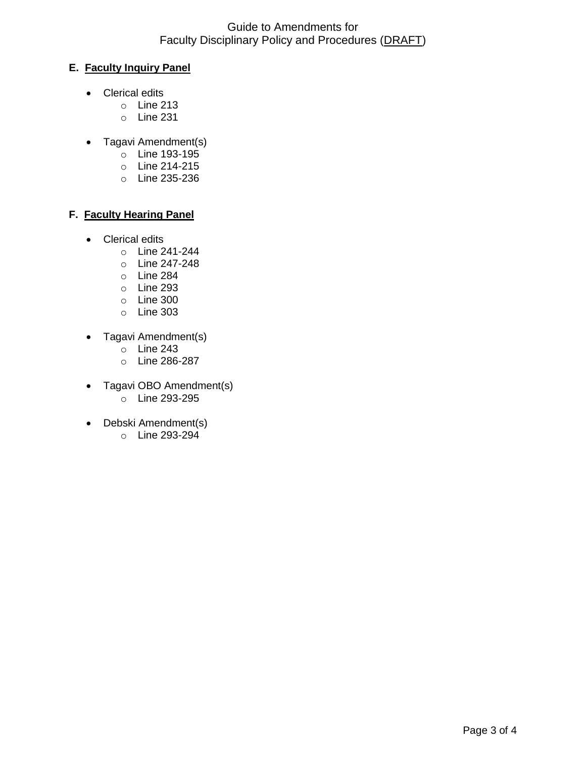#### Guide to Amendments for Faculty Disciplinary Policy and Procedures (DRAFT)

#### **E. Faculty Inquiry Panel**

- Clerical edits
	- o Line 213
	- o Line 231
- Tagavi Amendment(s)
	- o Line 193-195
	- o Line 214-215
	- o Line 235-236

#### **F. Faculty Hearing Panel**

- Clerical edits
	- o Line 241-244
	- o Line 247-248
	- o Line 284
	- o Line 293
	- o Line 300
	- o Line 303
- Tagavi Amendment(s)
	- $\circ$  Line 243
	- o Line 286-287
- Tagavi OBO Amendment(s)
	- $\circ$  Line 293-295
- Debski Amendment(s)
	- o Line 293-294